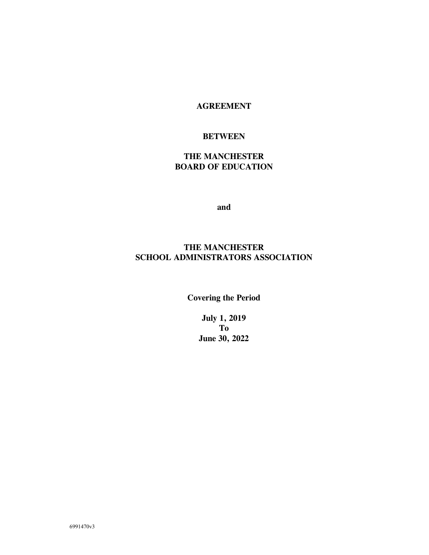### **AGREEMENT**

### **BETWEEN**

### **THE MANCHESTER BOARD OF EDUCATION**

**and**

### **THE MANCHESTER SCHOOL ADMINISTRATORS ASSOCIATION**

**Covering the Period**

**July 1, 2019 To June 30, 2022**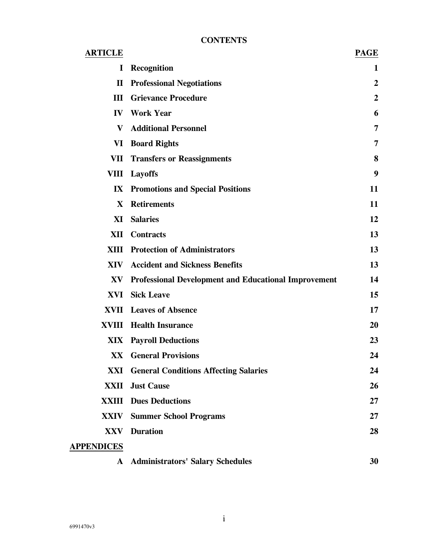### **CONTENTS**

| <b>ARTICLE</b>    |                                                             | <b>PAGE</b>      |
|-------------------|-------------------------------------------------------------|------------------|
| I                 | <b>Recognition</b>                                          | 1                |
| $\mathbf{I}$      | <b>Professional Negotiations</b>                            | $\boldsymbol{2}$ |
| III               | <b>Grievance Procedure</b>                                  | $\boldsymbol{2}$ |
|                   | <b>IV</b> Work Year                                         | 6                |
| V                 | <b>Additional Personnel</b>                                 | 7                |
| VI                | <b>Board Rights</b>                                         | 7                |
|                   | <b>VII</b> Transfers or Reassignments                       | 8                |
| <b>VIII</b>       | <b>Layoffs</b>                                              | 9                |
|                   | <b>IX</b> Promotions and Special Positions                  | 11               |
| X                 | <b>Retirements</b>                                          | 11               |
| XI                | <b>Salaries</b>                                             | 12               |
|                   | <b>XII</b> Contracts                                        | 13               |
|                   | <b>XIII</b> Protection of Administrators                    | 13               |
| XIV               | <b>Accident and Sickness Benefits</b>                       | 13               |
| XV                | <b>Professional Development and Educational Improvement</b> | 14               |
| XVI               | <b>Sick Leave</b>                                           | 15               |
|                   | <b>XVII</b> Leaves of Absence                               | 17               |
|                   | <b>XVIII</b> Health Insurance                               | 20               |
|                   | <b>XIX Payroll Deductions</b>                               | 23               |
|                   | <b>XX</b> General Provisions                                | 24               |
|                   | <b>XXI General Conditions Affecting Salaries</b>            | 24               |
| XXII              | <b>Just Cause</b>                                           | 26               |
| XXIII             | <b>Dues Deductions</b>                                      | 27               |
| <b>XXIV</b>       | <b>Summer School Programs</b>                               | $27\,$           |
| XXV               | <b>Duration</b>                                             | 28               |
| <b>APPENDICES</b> |                                                             |                  |
| $\mathbf{A}$      | <b>Administrators' Salary Schedules</b>                     | 30               |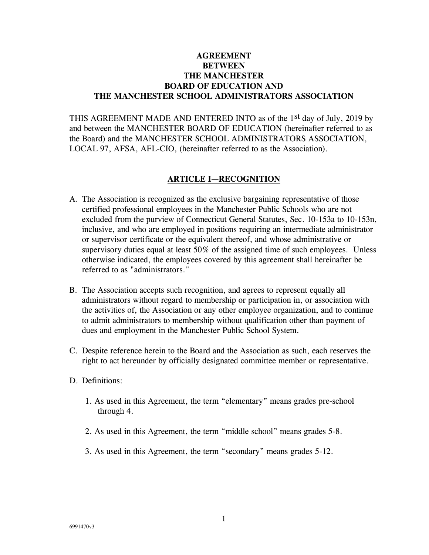### **AGREEMENT BETWEEN THE MANCHESTER BOARD OF EDUCATION AND THE MANCHESTER SCHOOL ADMINISTRATORS ASSOCIATION**

THIS AGREEMENT MADE AND ENTERED INTO as of the 1<sup>st</sup> day of July, 2019 by and between the MANCHESTER BOARD OF EDUCATION (hereinafter referred to as the Board) and the MANCHESTER SCHOOL ADMINISTRATORS ASSOCIATION, LOCAL 97, AFSA, AFL-CIO, (hereinafter referred to as the Association).

#### **ARTICLE I—RECOGNITION**

- A. The Association is recognized as the exclusive bargaining representative of those certified professional employees in the Manchester Public Schools who are not excluded from the purview of Connecticut General Statutes, Sec. 10-153a to 10-153n, inclusive, and who are employed in positions requiring an intermediate administrator or supervisor certificate or the equivalent thereof, and whose administrative or supervisory duties equal at least 50% of the assigned time of such employees. Unless otherwise indicated, the employees covered by this agreement shall hereinafter be referred to as "administrators."
- B. The Association accepts such recognition, and agrees to represent equally all administrators without regard to membership or participation in, or association with the activities of, the Association or any other employee organization, and to continue to admit administrators to membership without qualification other than payment of dues and employment in the Manchester Public School System.
- C. Despite reference herein to the Board and the Association as such, each reserves the right to act hereunder by officially designated committee member or representative.
- D. Definitions:
	- 1. As used in this Agreement, the term "elementary" means grades pre-school through 4.
	- 2. As used in this Agreement, the term "middle school" means grades 5-8.
	- 3. As used in this Agreement, the term "secondary" means grades 5-12.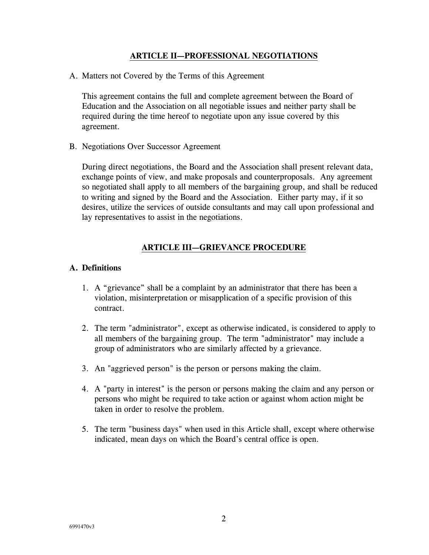#### **ARTICLE II—PROFESSIONAL NEGOTIATIONS**

A. Matters not Covered by the Terms of this Agreement

This agreement contains the full and complete agreement between the Board of Education and the Association on all negotiable issues and neither party shall be required during the time hereof to negotiate upon any issue covered by this agreement.

B. Negotiations Over Successor Agreement

During direct negotiations, the Board and the Association shall present relevant data, exchange points of view, and make proposals and counterproposals. Any agreement so negotiated shall apply to all members of the bargaining group, and shall be reduced to writing and signed by the Board and the Association. Either party may, if it so desires, utilize the services of outside consultants and may call upon professional and lay representatives to assist in the negotiations.

#### **ARTICLE III—GRIEVANCE PROCEDURE**

#### **A. Definitions**

- 1. A "grievance" shall be a complaint by an administrator that there has been a violation, misinterpretation or misapplication of a specific provision of this contract.
- 2. The term "administrator", except as otherwise indicated, is considered to apply to all members of the bargaining group. The term "administrator" may include a group of administrators who are similarly affected by a grievance.
- 3. An "aggrieved person" is the person or persons making the claim.
- 4. A "party in interest" is the person or persons making the claim and any person or persons who might be required to take action or against whom action might be taken in order to resolve the problem.
- 5. The term "business days" when used in this Article shall, except where otherwise indicated, mean days on which the Board's central office is open.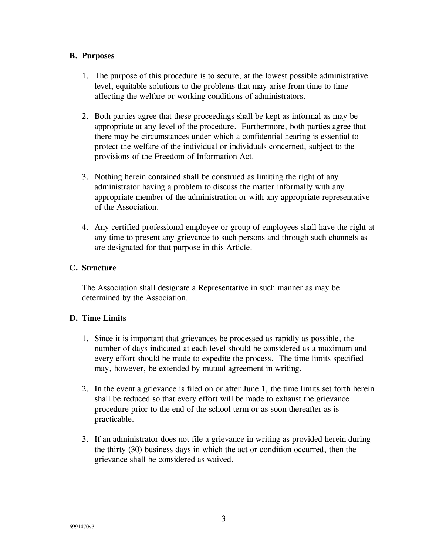#### **B. Purposes**

- 1. The purpose of this procedure is to secure, at the lowest possible administrative level, equitable solutions to the problems that may arise from time to time affecting the welfare or working conditions of administrators.
- 2. Both parties agree that these proceedings shall be kept as informal as may be appropriate at any level of the procedure. Furthermore, both parties agree that there may be circumstances under which a confidential hearing is essential to protect the welfare of the individual or individuals concerned, subject to the provisions of the Freedom of Information Act.
- 3. Nothing herein contained shall be construed as limiting the right of any administrator having a problem to discuss the matter informally with any appropriate member of the administration or with any appropriate representative of the Association.
- 4. Any certified professional employee or group of employees shall have the right at any time to present any grievance to such persons and through such channels as are designated for that purpose in this Article.

### **C. Structure**

The Association shall designate a Representative in such manner as may be determined by the Association.

### **D. Time Limits**

- 1. Since it is important that grievances be processed as rapidly as possible, the number of days indicated at each level should be considered as a maximum and every effort should be made to expedite the process. The time limits specified may, however, be extended by mutual agreement in writing.
- 2. In the event a grievance is filed on or after June 1, the time limits set forth herein shall be reduced so that every effort will be made to exhaust the grievance procedure prior to the end of the school term or as soon thereafter as is practicable.
- 3. If an administrator does not file a grievance in writing as provided herein during the thirty (30) business days in which the act or condition occurred, then the grievance shall be considered as waived.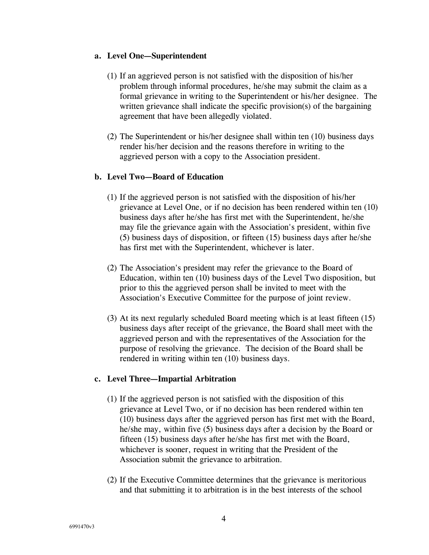#### **a. Level One—Superintendent**

- (1) If an aggrieved person is not satisfied with the disposition of his/her problem through informal procedures, he/she may submit the claim as a formal grievance in writing to the Superintendent or his/her designee. The written grievance shall indicate the specific provision(s) of the bargaining agreement that have been allegedly violated.
- (2) The Superintendent or his/her designee shall within ten (10) business days render his/her decision and the reasons therefore in writing to the aggrieved person with a copy to the Association president.

### **b. Level Two—Board of Education**

- (1) If the aggrieved person is not satisfied with the disposition of his/her grievance at Level One, or if no decision has been rendered within ten (10) business days after he/she has first met with the Superintendent, he/she may file the grievance again with the Association's president, within five (5) business days of disposition, or fifteen (15) business days after he/she has first met with the Superintendent, whichever is later.
- (2) The Association's president may refer the grievance to the Board of Education, within ten (10) business days of the Level Two disposition, but prior to this the aggrieved person shall be invited to meet with the Association's Executive Committee for the purpose of joint review.
- (3) At its next regularly scheduled Board meeting which is at least fifteen (15) business days after receipt of the grievance, the Board shall meet with the aggrieved person and with the representatives of the Association for the purpose of resolving the grievance. The decision of the Board shall be rendered in writing within ten (10) business days.

### **c. Level Three—Impartial Arbitration**

- (1) If the aggrieved person is not satisfied with the disposition of this grievance at Level Two, or if no decision has been rendered within ten (10) business days after the aggrieved person has first met with the Board, he/she may, within five (5) business days after a decision by the Board or fifteen (15) business days after he/she has first met with the Board, whichever is sooner, request in writing that the President of the Association submit the grievance to arbitration.
- (2) If the Executive Committee determines that the grievance is meritorious and that submitting it to arbitration is in the best interests of the school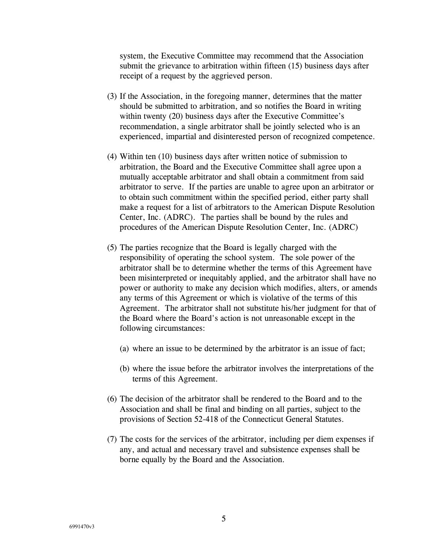system, the Executive Committee may recommend that the Association submit the grievance to arbitration within fifteen (15) business days after receipt of a request by the aggrieved person.

- (3) If the Association, in the foregoing manner, determines that the matter should be submitted to arbitration, and so notifies the Board in writing within twenty (20) business days after the Executive Committee's recommendation, a single arbitrator shall be jointly selected who is an experienced, impartial and disinterested person of recognized competence.
- (4) Within ten (10) business days after written notice of submission to arbitration, the Board and the Executive Committee shall agree upon a mutually acceptable arbitrator and shall obtain a commitment from said arbitrator to serve. If the parties are unable to agree upon an arbitrator or to obtain such commitment within the specified period, either party shall make a request for a list of arbitrators to the American Dispute Resolution Center, Inc. (ADRC). The parties shall be bound by the rules and procedures of the American Dispute Resolution Center, Inc. (ADRC)
- (5) The parties recognize that the Board is legally charged with the responsibility of operating the school system. The sole power of the arbitrator shall be to determine whether the terms of this Agreement have been misinterpreted or inequitably applied, and the arbitrator shall have no power or authority to make any decision which modifies, alters, or amends any terms of this Agreement or which is violative of the terms of this Agreement. The arbitrator shall not substitute his/her judgment for that of the Board where the Board's action is not unreasonable except in the following circumstances:
	- (a) where an issue to be determined by the arbitrator is an issue of fact;
	- (b) where the issue before the arbitrator involves the interpretations of the terms of this Agreement.
- (6) The decision of the arbitrator shall be rendered to the Board and to the Association and shall be final and binding on all parties, subject to the provisions of Section 52-418 of the Connecticut General Statutes.
- (7) The costs for the services of the arbitrator, including per diem expenses if any, and actual and necessary travel and subsistence expenses shall be borne equally by the Board and the Association.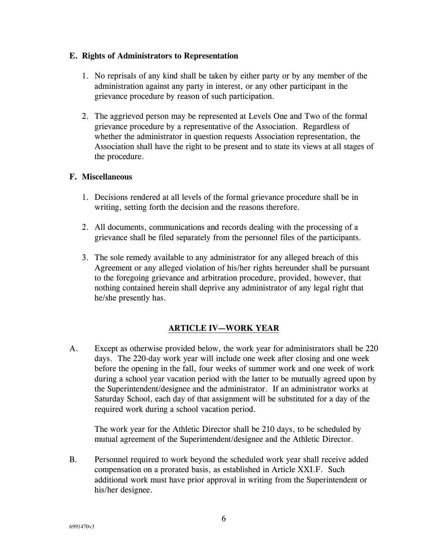#### **E. Rights of Administrators to Representation**

- 1. No reprisals of any kind shall be taken by either party or by any member of the administration against any party in interest, or any other participant in the grievance procedure by reason of such participation.
- 2. The aggrieved person may be represented at Levels One and Two of the formal grievance procedure by a representative of the Association. Regardless of whether the administrator in question requests Association representation, the Association shall have the right to be present and to state its views at all stages of the procedure.

#### **F. Miscellaneous**

- 1. Decisions rendered at all levels of the formal grievance procedure shall be in writing, setting forth the decision and the reasons therefore.
- 2. All documents, communications and records dealing with the processing of a grievance shall be filed separately from the personnel files of the participants.
- 3. The sole remedy available to any administrator for any alleged breach of this Agreement or any alleged violation of his/her rights hereunder shall be pursuant to the foregoing grievance and arbitration procedure, provided, however, that nothing contained herein shall deprive any administrator of any legal right that he/she presently has.

### **ARTICLE IV—WORK YEAR**

A. Except as otherwise provided below, the work year for administrators shall be 220 days. The 220-day work year will include one week after closing and one week before the opening in the fall, four weeks of summer work and one week of work during a school year vacation period with the latter to be mutually agreed upon by the Superintendent/designee and the administrator. If an administrator works at Saturday School, each day of that assignment will be substituted for a day of the required work during a school vacation period.

The work year for the Athletic Director shall be 210 days, to be scheduled by mutual agreement of the Superintendent/designee and the Athletic Director.

B. Personnel required to work beyond the scheduled work year shall receive added compensation on a prorated basis, as established in Article XXI.F. Such additional work must have prior approval in writing from the Superintendent or his/her designee.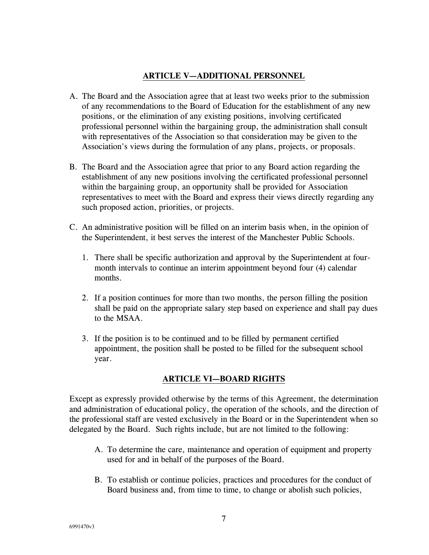### **ARTICLE V—ADDITIONAL PERSONNEL**

- A. The Board and the Association agree that at least two weeks prior to the submission of any recommendations to the Board of Education for the establishment of any new positions, or the elimination of any existing positions, involving certificated professional personnel within the bargaining group, the administration shall consult with representatives of the Association so that consideration may be given to the Association's views during the formulation of any plans, projects, or proposals.
- B. The Board and the Association agree that prior to any Board action regarding the establishment of any new positions involving the certificated professional personnel within the bargaining group, an opportunity shall be provided for Association representatives to meet with the Board and express their views directly regarding any such proposed action, priorities, or projects.
- C. An administrative position will be filled on an interim basis when, in the opinion of the Superintendent, it best serves the interest of the Manchester Public Schools.
	- 1. There shall be specific authorization and approval by the Superintendent at fourmonth intervals to continue an interim appointment beyond four (4) calendar months.
	- 2. If a position continues for more than two months, the person filling the position shall be paid on the appropriate salary step based on experience and shall pay dues to the MSAA.
	- 3. If the position is to be continued and to be filled by permanent certified appointment, the position shall be posted to be filled for the subsequent school year.

### **ARTICLE VI—BOARD RIGHTS**

Except as expressly provided otherwise by the terms of this Agreement, the determination and administration of educational policy, the operation of the schools, and the direction of the professional staff are vested exclusively in the Board or in the Superintendent when so delegated by the Board. Such rights include, but are not limited to the following:

- A. To determine the care, maintenance and operation of equipment and property used for and in behalf of the purposes of the Board.
- B. To establish or continue policies, practices and procedures for the conduct of Board business and, from time to time, to change or abolish such policies,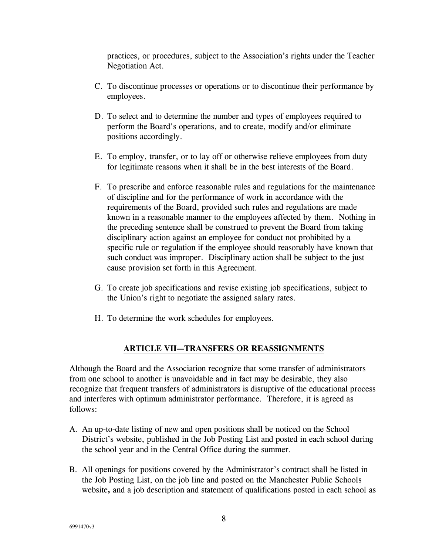practices, or procedures, subject to the Association's rights under the Teacher Negotiation Act.

- C. To discontinue processes or operations or to discontinue their performance by employees.
- D. To select and to determine the number and types of employees required to perform the Board's operations, and to create, modify and/or eliminate positions accordingly.
- E. To employ, transfer, or to lay off or otherwise relieve employees from duty for legitimate reasons when it shall be in the best interests of the Board.
- F. To prescribe and enforce reasonable rules and regulations for the maintenance of discipline and for the performance of work in accordance with the requirements of the Board, provided such rules and regulations are made known in a reasonable manner to the employees affected by them. Nothing in the preceding sentence shall be construed to prevent the Board from taking disciplinary action against an employee for conduct not prohibited by a specific rule or regulation if the employee should reasonably have known that such conduct was improper. Disciplinary action shall be subject to the just cause provision set forth in this Agreement.
- G. To create job specifications and revise existing job specifications, subject to the Union's right to negotiate the assigned salary rates.
- H. To determine the work schedules for employees.

### **ARTICLE VII—TRANSFERS OR REASSIGNMENTS**

Although the Board and the Association recognize that some transfer of administrators from one school to another is unavoidable and in fact may be desirable, they also recognize that frequent transfers of administrators is disruptive of the educational process and interferes with optimum administrator performance. Therefore, it is agreed as follows:

- A. An up-to-date listing of new and open positions shall be noticed on the School District's website, published in the Job Posting List and posted in each school during the school year and in the Central Office during the summer.
- B. All openings for positions covered by the Administrator's contract shall be listed in the Job Posting List, on the job line and posted on the Manchester Public Schools website**,** and a job description and statement of qualifications posted in each school as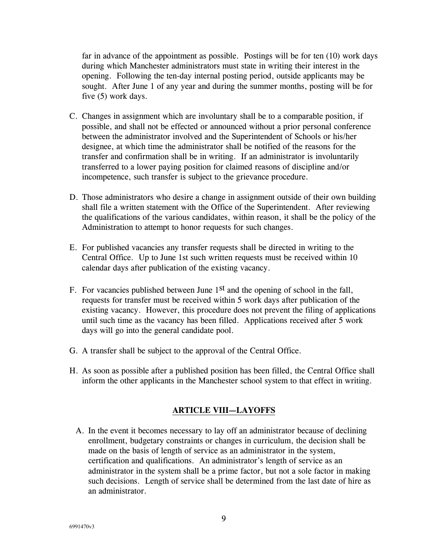far in advance of the appointment as possible. Postings will be for ten (10) work days during which Manchester administrators must state in writing their interest in the opening. Following the ten-day internal posting period, outside applicants may be sought. After June 1 of any year and during the summer months, posting will be for five (5) work days.

- C. Changes in assignment which are involuntary shall be to a comparable position, if possible, and shall not be effected or announced without a prior personal conference between the administrator involved and the Superintendent of Schools or his/her designee, at which time the administrator shall be notified of the reasons for the transfer and confirmation shall be in writing. If an administrator is involuntarily transferred to a lower paying position for claimed reasons of discipline and/or incompetence, such transfer is subject to the grievance procedure.
- D. Those administrators who desire a change in assignment outside of their own building shall file a written statement with the Office of the Superintendent. After reviewing the qualifications of the various candidates, within reason, it shall be the policy of the Administration to attempt to honor requests for such changes.
- E. For published vacancies any transfer requests shall be directed in writing to the Central Office. Up to June 1st such written requests must be received within 10 calendar days after publication of the existing vacancy.
- F. For vacancies published between June 1st and the opening of school in the fall, requests for transfer must be received within 5 work days after publication of the existing vacancy. However, this procedure does not prevent the filing of applications until such time as the vacancy has been filled. Applications received after 5 work days will go into the general candidate pool.
- G. A transfer shall be subject to the approval of the Central Office.
- H. As soon as possible after a published position has been filled, the Central Office shall inform the other applicants in the Manchester school system to that effect in writing.

### **ARTICLE VIII—LAYOFFS**

A. In the event it becomes necessary to lay off an administrator because of declining enrollment, budgetary constraints or changes in curriculum, the decision shall be made on the basis of length of service as an administrator in the system, certification and qualifications. An administrator's length of service as an administrator in the system shall be a prime factor, but not a sole factor in making such decisions. Length of service shall be determined from the last date of hire as an administrator.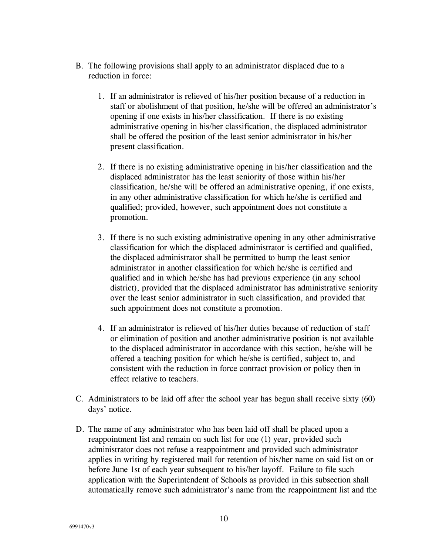- B. The following provisions shall apply to an administrator displaced due to a reduction in force:
	- 1. If an administrator is relieved of his/her position because of a reduction in staff or abolishment of that position, he/she will be offered an administrator's opening if one exists in his/her classification. If there is no existing administrative opening in his/her classification, the displaced administrator shall be offered the position of the least senior administrator in his/her present classification.
	- 2. If there is no existing administrative opening in his/her classification and the displaced administrator has the least seniority of those within his/her classification, he/she will be offered an administrative opening, if one exists, in any other administrative classification for which he/she is certified and qualified; provided, however, such appointment does not constitute a promotion.
	- 3. If there is no such existing administrative opening in any other administrative classification for which the displaced administrator is certified and qualified, the displaced administrator shall be permitted to bump the least senior administrator in another classification for which he/she is certified and qualified and in which he/she has had previous experience (in any school district), provided that the displaced administrator has administrative seniority over the least senior administrator in such classification, and provided that such appointment does not constitute a promotion.
	- 4. If an administrator is relieved of his/her duties because of reduction of staff or elimination of position and another administrative position is not available to the displaced administrator in accordance with this section, he/she will be offered a teaching position for which he/she is certified, subject to, and consistent with the reduction in force contract provision or policy then in effect relative to teachers.
- C. Administrators to be laid off after the school year has begun shall receive sixty (60) days' notice.
- D. The name of any administrator who has been laid off shall be placed upon a reappointment list and remain on such list for one (1) year, provided such administrator does not refuse a reappointment and provided such administrator applies in writing by registered mail for retention of his/her name on said list on or before June 1st of each year subsequent to his/her layoff. Failure to file such application with the Superintendent of Schools as provided in this subsection shall automatically remove such administrator's name from the reappointment list and the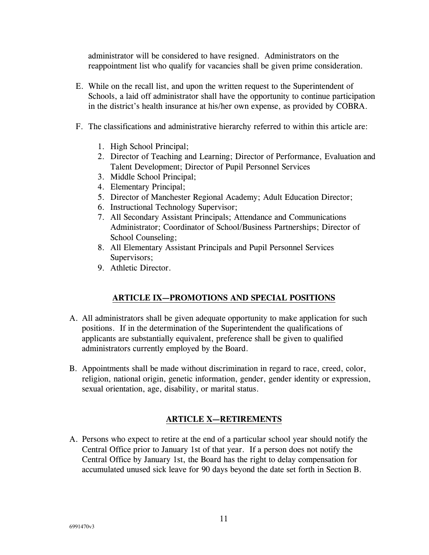administrator will be considered to have resigned. Administrators on the reappointment list who qualify for vacancies shall be given prime consideration.

- E. While on the recall list, and upon the written request to the Superintendent of Schools, a laid off administrator shall have the opportunity to continue participation in the district's health insurance at his/her own expense, as provided by COBRA.
- F. The classifications and administrative hierarchy referred to within this article are:
	- 1. High School Principal;
	- 2. Director of Teaching and Learning; Director of Performance, Evaluation and Talent Development; Director of Pupil Personnel Services
	- 3. Middle School Principal;
	- 4. Elementary Principal;
	- 5. Director of Manchester Regional Academy; Adult Education Director;
	- 6. Instructional Technology Supervisor;
	- 7. All Secondary Assistant Principals; Attendance and Communications Administrator; Coordinator of School/Business Partnerships; Director of School Counseling;
	- 8. All Elementary Assistant Principals and Pupil Personnel Services Supervisors;
	- 9. Athletic Director.

### **ARTICLE IX—PROMOTIONS AND SPECIAL POSITIONS**

- A. All administrators shall be given adequate opportunity to make application for such positions. If in the determination of the Superintendent the qualifications of applicants are substantially equivalent, preference shall be given to qualified administrators currently employed by the Board.
- B. Appointments shall be made without discrimination in regard to race, creed, color, religion, national origin, genetic information, gender, gender identity or expression, sexual orientation, age, disability, or marital status.

### **ARTICLE X—RETIREMENTS**

A. Persons who expect to retire at the end of a particular school year should notify the Central Office prior to January 1st of that year. If a person does not notify the Central Office by January 1st, the Board has the right to delay compensation for accumulated unused sick leave for 90 days beyond the date set forth in Section B.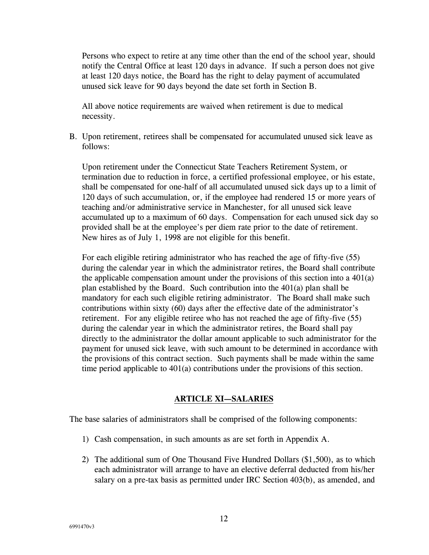Persons who expect to retire at any time other than the end of the school year, should notify the Central Office at least 120 days in advance. If such a person does not give at least 120 days notice, the Board has the right to delay payment of accumulated unused sick leave for 90 days beyond the date set forth in Section B.

All above notice requirements are waived when retirement is due to medical necessity.

B. Upon retirement, retirees shall be compensated for accumulated unused sick leave as follows:

Upon retirement under the Connecticut State Teachers Retirement System, or termination due to reduction in force, a certified professional employee, or his estate, shall be compensated for one-half of all accumulated unused sick days up to a limit of 120 days of such accumulation, or, if the employee had rendered 15 or more years of teaching and/or administrative service in Manchester, for all unused sick leave accumulated up to a maximum of 60 days. Compensation for each unused sick day so provided shall be at the employee's per diem rate prior to the date of retirement. New hires as of July 1, 1998 are not eligible for this benefit.

For each eligible retiring administrator who has reached the age of fifty-five (55) during the calendar year in which the administrator retires, the Board shall contribute the applicable compensation amount under the provisions of this section into a 401(a) plan established by the Board. Such contribution into the 401(a) plan shall be mandatory for each such eligible retiring administrator. The Board shall make such contributions within sixty (60) days after the effective date of the administrator's retirement. For any eligible retiree who has not reached the age of fifty-five (55) during the calendar year in which the administrator retires, the Board shall pay directly to the administrator the dollar amount applicable to such administrator for the payment for unused sick leave, with such amount to be determined in accordance with the provisions of this contract section. Such payments shall be made within the same time period applicable to 401(a) contributions under the provisions of this section.

### **ARTICLE XI—SALARIES**

The base salaries of administrators shall be comprised of the following components:

- 1) Cash compensation, in such amounts as are set forth in Appendix A.
- 2) The additional sum of One Thousand Five Hundred Dollars (\$1,500), as to which each administrator will arrange to have an elective deferral deducted from his/her salary on a pre-tax basis as permitted under IRC Section 403(b), as amended, and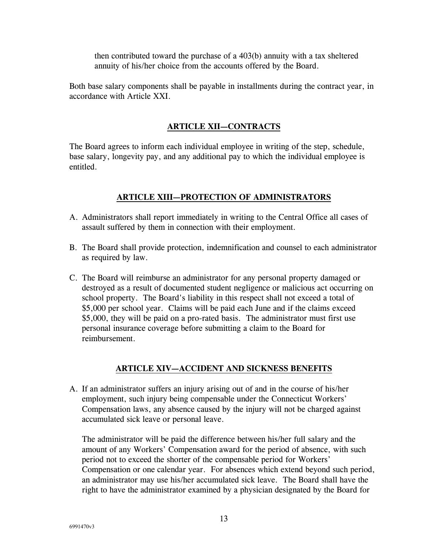then contributed toward the purchase of a 403(b) annuity with a tax sheltered annuity of his/her choice from the accounts offered by the Board.

Both base salary components shall be payable in installments during the contract year, in accordance with Article XXI.

### **ARTICLE XII—CONTRACTS**

The Board agrees to inform each individual employee in writing of the step, schedule, base salary, longevity pay, and any additional pay to which the individual employee is entitled.

### **ARTICLE XIII—PROTECTION OF ADMINISTRATORS**

- A. Administrators shall report immediately in writing to the Central Office all cases of assault suffered by them in connection with their employment.
- B. The Board shall provide protection, indemnification and counsel to each administrator as required by law.
- C. The Board will reimburse an administrator for any personal property damaged or destroyed as a result of documented student negligence or malicious act occurring on school property. The Board's liability in this respect shall not exceed a total of \$5,000 per school year. Claims will be paid each June and if the claims exceed \$5,000, they will be paid on a pro-rated basis. The administrator must first use personal insurance coverage before submitting a claim to the Board for reimbursement.

### **ARTICLE XIV—ACCIDENT AND SICKNESS BENEFITS**

A. If an administrator suffers an injury arising out of and in the course of his/her employment, such injury being compensable under the Connecticut Workers' Compensation laws, any absence caused by the injury will not be charged against accumulated sick leave or personal leave.

The administrator will be paid the difference between his/her full salary and the amount of any Workers' Compensation award for the period of absence, with such period not to exceed the shorter of the compensable period for Workers' Compensation or one calendar year. For absences which extend beyond such period, an administrator may use his/her accumulated sick leave. The Board shall have the right to have the administrator examined by a physician designated by the Board for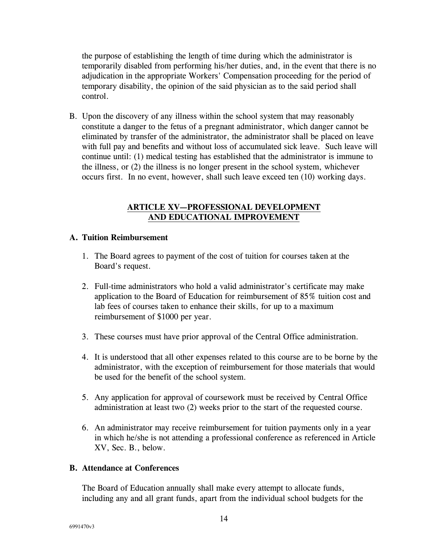the purpose of establishing the length of time during which the administrator is temporarily disabled from performing his/her duties, and, in the event that there is no adjudication in the appropriate Workers' Compensation proceeding for the period of temporary disability, the opinion of the said physician as to the said period shall control.

B. Upon the discovery of any illness within the school system that may reasonably constitute a danger to the fetus of a pregnant administrator, which danger cannot be eliminated by transfer of the administrator, the administrator shall be placed on leave with full pay and benefits and without loss of accumulated sick leave. Such leave will continue until: (1) medical testing has established that the administrator is immune to the illness, or (2) the illness is no longer present in the school system, whichever occurs first. In no event, however, shall such leave exceed ten (10) working days.

### **ARTICLE XV—PROFESSIONAL DEVELOPMENT AND EDUCATIONAL IMPROVEMENT**

#### **A. Tuition Reimbursement**

- 1. The Board agrees to payment of the cost of tuition for courses taken at the Board's request.
- 2. Full-time administrators who hold a valid administrator's certificate may make application to the Board of Education for reimbursement of 85% tuition cost and lab fees of courses taken to enhance their skills, for up to a maximum reimbursement of \$1000 per year.
- 3. These courses must have prior approval of the Central Office administration.
- 4. It is understood that all other expenses related to this course are to be borne by the administrator, with the exception of reimbursement for those materials that would be used for the benefit of the school system.
- 5. Any application for approval of coursework must be received by Central Office administration at least two (2) weeks prior to the start of the requested course.
- 6. An administrator may receive reimbursement for tuition payments only in a year in which he/she is not attending a professional conference as referenced in Article XV, Sec. B., below.

### **B. Attendance at Conferences**

The Board of Education annually shall make every attempt to allocate funds, including any and all grant funds, apart from the individual school budgets for the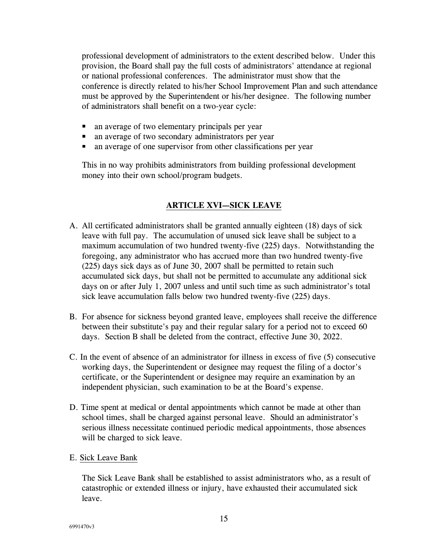professional development of administrators to the extent described below. Under this provision, the Board shall pay the full costs of administrators' attendance at regional or national professional conferences. The administrator must show that the conference is directly related to his/her School Improvement Plan and such attendance must be approved by the Superintendent or his/her designee. The following number of administrators shall benefit on a two-year cycle:

- an average of two elementary principals per year
- an average of two secondary administrators per year
- an average of one supervisor from other classifications per year

This in no way prohibits administrators from building professional development money into their own school/program budgets.

### **ARTICLE XVI—SICK LEAVE**

- A. All certificated administrators shall be granted annually eighteen (18) days of sick leave with full pay. The accumulation of unused sick leave shall be subject to a maximum accumulation of two hundred twenty-five (225) days. Notwithstanding the foregoing, any administrator who has accrued more than two hundred twenty-five (225) days sick days as of June 30, 2007 shall be permitted to retain such accumulated sick days, but shall not be permitted to accumulate any additional sick days on or after July 1, 2007 unless and until such time as such administrator's total sick leave accumulation falls below two hundred twenty-five (225) days.
- B. For absence for sickness beyond granted leave, employees shall receive the difference between their substitute's pay and their regular salary for a period not to exceed 60 days. Section B shall be deleted from the contract, effective June 30, 2022.
- C. In the event of absence of an administrator for illness in excess of five (5) consecutive working days, the Superintendent or designee may request the filing of a doctor's certificate, or the Superintendent or designee may require an examination by an independent physician, such examination to be at the Board's expense.
- D. Time spent at medical or dental appointments which cannot be made at other than school times, shall be charged against personal leave. Should an administrator's serious illness necessitate continued periodic medical appointments, those absences will be charged to sick leave.
- E. Sick Leave Bank

The Sick Leave Bank shall be established to assist administrators who, as a result of catastrophic or extended illness or injury, have exhausted their accumulated sick leave.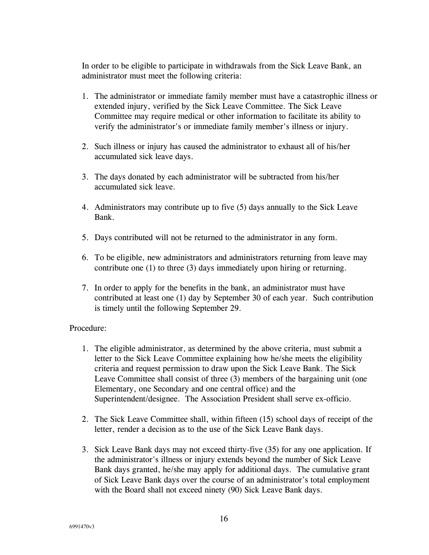In order to be eligible to participate in withdrawals from the Sick Leave Bank, an administrator must meet the following criteria:

- 1. The administrator or immediate family member must have a catastrophic illness or extended injury, verified by the Sick Leave Committee. The Sick Leave Committee may require medical or other information to facilitate its ability to verify the administrator's or immediate family member's illness or injury.
- 2. Such illness or injury has caused the administrator to exhaust all of his/her accumulated sick leave days.
- 3. The days donated by each administrator will be subtracted from his/her accumulated sick leave.
- 4. Administrators may contribute up to five (5) days annually to the Sick Leave Bank.
- 5. Days contributed will not be returned to the administrator in any form.
- 6. To be eligible, new administrators and administrators returning from leave may contribute one (1) to three (3) days immediately upon hiring or returning.
- 7. In order to apply for the benefits in the bank, an administrator must have contributed at least one (1) day by September 30 of each year. Such contribution is timely until the following September 29.

### Procedure:

- 1. The eligible administrator, as determined by the above criteria, must submit a letter to the Sick Leave Committee explaining how he/she meets the eligibility criteria and request permission to draw upon the Sick Leave Bank. The Sick Leave Committee shall consist of three (3) members of the bargaining unit (one Elementary, one Secondary and one central office) and the Superintendent/designee. The Association President shall serve ex-officio.
- 2. The Sick Leave Committee shall, within fifteen (15) school days of receipt of the letter, render a decision as to the use of the Sick Leave Bank days.
- 3. Sick Leave Bank days may not exceed thirty-five (35) for any one application. If the administrator's illness or injury extends beyond the number of Sick Leave Bank days granted, he/she may apply for additional days. The cumulative grant of Sick Leave Bank days over the course of an administrator's total employment with the Board shall not exceed ninety (90) Sick Leave Bank days.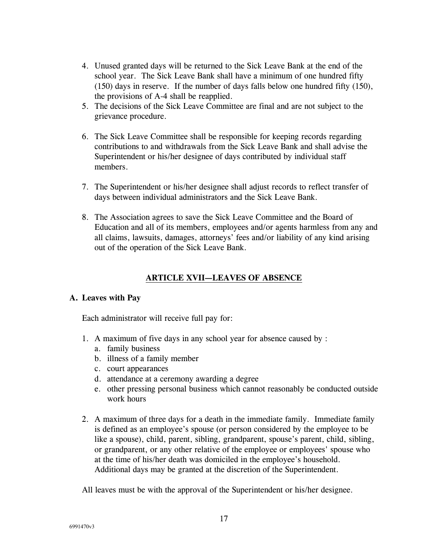- 4. Unused granted days will be returned to the Sick Leave Bank at the end of the school year. The Sick Leave Bank shall have a minimum of one hundred fifty (150) days in reserve. If the number of days falls below one hundred fifty (150), the provisions of A-4 shall be reapplied.
- 5. The decisions of the Sick Leave Committee are final and are not subject to the grievance procedure.
- 6. The Sick Leave Committee shall be responsible for keeping records regarding contributions to and withdrawals from the Sick Leave Bank and shall advise the Superintendent or his/her designee of days contributed by individual staff members.
- 7. The Superintendent or his/her designee shall adjust records to reflect transfer of days between individual administrators and the Sick Leave Bank.
- 8. The Association agrees to save the Sick Leave Committee and the Board of Education and all of its members, employees and/or agents harmless from any and all claims, lawsuits, damages, attorneys' fees and/or liability of any kind arising out of the operation of the Sick Leave Bank.

### **ARTICLE XVII—LEAVES OF ABSENCE**

#### **A. Leaves with Pay**

Each administrator will receive full pay for:

- 1. A maximum of five days in any school year for absence caused by :
	- a. family business
	- b. illness of a family member
	- c. court appearances
	- d. attendance at a ceremony awarding a degree
	- e. other pressing personal business which cannot reasonably be conducted outside work hours
- 2. A maximum of three days for a death in the immediate family. Immediate family is defined as an employee's spouse (or person considered by the employee to be like a spouse), child, parent, sibling, grandparent, spouse's parent, child, sibling, or grandparent, or any other relative of the employee or employees' spouse who at the time of his/her death was domiciled in the employee's household. Additional days may be granted at the discretion of the Superintendent.

All leaves must be with the approval of the Superintendent or his/her designee.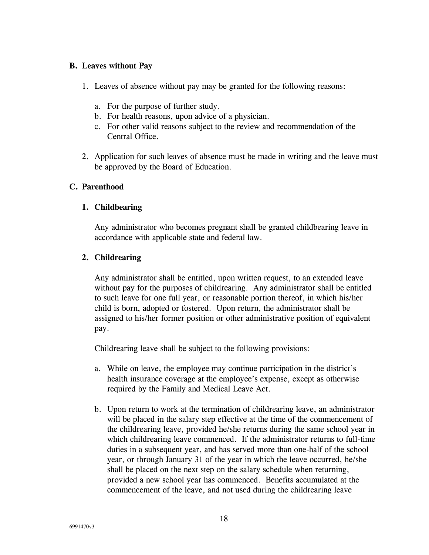#### **B. Leaves without Pay**

- 1. Leaves of absence without pay may be granted for the following reasons:
	- a. For the purpose of further study.
	- b. For health reasons, upon advice of a physician.
	- c. For other valid reasons subject to the review and recommendation of the Central Office.
- 2. Application for such leaves of absence must be made in writing and the leave must be approved by the Board of Education.

#### **C. Parenthood**

#### **1. Childbearing**

Any administrator who becomes pregnant shall be granted childbearing leave in accordance with applicable state and federal law.

### **2. Childrearing**

Any administrator shall be entitled, upon written request, to an extended leave without pay for the purposes of childrearing. Any administrator shall be entitled to such leave for one full year, or reasonable portion thereof, in which his/her child is born, adopted or fostered. Upon return, the administrator shall be assigned to his/her former position or other administrative position of equivalent pay.

Childrearing leave shall be subject to the following provisions:

- a. While on leave, the employee may continue participation in the district's health insurance coverage at the employee's expense, except as otherwise required by the Family and Medical Leave Act.
- b. Upon return to work at the termination of childrearing leave, an administrator will be placed in the salary step effective at the time of the commencement of the childrearing leave, provided he/she returns during the same school year in which childrearing leave commenced. If the administrator returns to full-time duties in a subsequent year, and has served more than one-half of the school year, or through January 31 of the year in which the leave occurred, he/she shall be placed on the next step on the salary schedule when returning, provided a new school year has commenced. Benefits accumulated at the commencement of the leave, and not used during the childrearing leave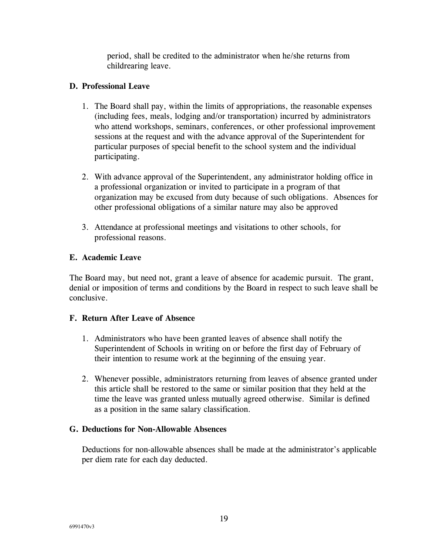period, shall be credited to the administrator when he/she returns from childrearing leave.

### **D. Professional Leave**

- 1. The Board shall pay, within the limits of appropriations, the reasonable expenses (including fees, meals, lodging and/or transportation) incurred by administrators who attend workshops, seminars, conferences, or other professional improvement sessions at the request and with the advance approval of the Superintendent for particular purposes of special benefit to the school system and the individual participating.
- 2. With advance approval of the Superintendent, any administrator holding office in a professional organization or invited to participate in a program of that organization may be excused from duty because of such obligations. Absences for other professional obligations of a similar nature may also be approved
- 3. Attendance at professional meetings and visitations to other schools, for professional reasons.

### **E. Academic Leave**

The Board may, but need not, grant a leave of absence for academic pursuit. The grant, denial or imposition of terms and conditions by the Board in respect to such leave shall be conclusive.

### **F. Return After Leave of Absence**

- 1. Administrators who have been granted leaves of absence shall notify the Superintendent of Schools in writing on or before the first day of February of their intention to resume work at the beginning of the ensuing year.
- 2. Whenever possible, administrators returning from leaves of absence granted under this article shall be restored to the same or similar position that they held at the time the leave was granted unless mutually agreed otherwise. Similar is defined as a position in the same salary classification.

### **G. Deductions for Non-Allowable Absences**

Deductions for non-allowable absences shall be made at the administrator's applicable per diem rate for each day deducted.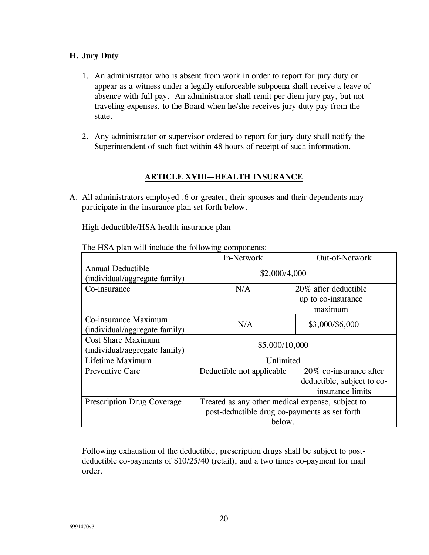### **H. Jury Duty**

- 1. An administrator who is absent from work in order to report for jury duty or appear as a witness under a legally enforceable subpoena shall receive a leave of absence with full pay. An administrator shall remit per diem jury pay, but not traveling expenses, to the Board when he/she receives jury duty pay from the state.
- 2. Any administrator or supervisor ordered to report for jury duty shall notify the Superintendent of such fact within 48 hours of receipt of such information.

### **ARTICLE XVIII—HEALTH INSURANCE**

A. All administrators employed .6 or greater, their spouses and their dependents may participate in the insurance plan set forth below.

High deductible/HSA health insurance plan

|                                                           | In-Network                                       | Out-of-Network             |  |  |  |
|-----------------------------------------------------------|--------------------------------------------------|----------------------------|--|--|--|
| <b>Annual Deductible</b><br>(individual/aggregate family) | \$2,000/4,000                                    |                            |  |  |  |
| Co-insurance                                              | N/A                                              | 20% after deductible       |  |  |  |
|                                                           |                                                  | up to co-insurance         |  |  |  |
|                                                           |                                                  | maximum                    |  |  |  |
| Co-insurance Maximum<br>(individual/aggregate family)     | N/A                                              | \$3,000/\$6,000            |  |  |  |
| <b>Cost Share Maximum</b>                                 | \$5,000/10,000                                   |                            |  |  |  |
| (individual/aggregate family)                             |                                                  |                            |  |  |  |
| Lifetime Maximum                                          | Unlimited                                        |                            |  |  |  |
| <b>Preventive Care</b>                                    | Deductible not applicable                        | $20\%$ co-insurance after  |  |  |  |
|                                                           |                                                  | deductible, subject to co- |  |  |  |
|                                                           |                                                  | insurance limits           |  |  |  |
| <b>Prescription Drug Coverage</b>                         | Treated as any other medical expense, subject to |                            |  |  |  |
|                                                           | post-deductible drug co-payments as set forth    |                            |  |  |  |
|                                                           | below.                                           |                            |  |  |  |

The HSA plan will include the following components:

Following exhaustion of the deductible, prescription drugs shall be subject to postdeductible co-payments of \$10/25/40 (retail), and a two times co-payment for mail order.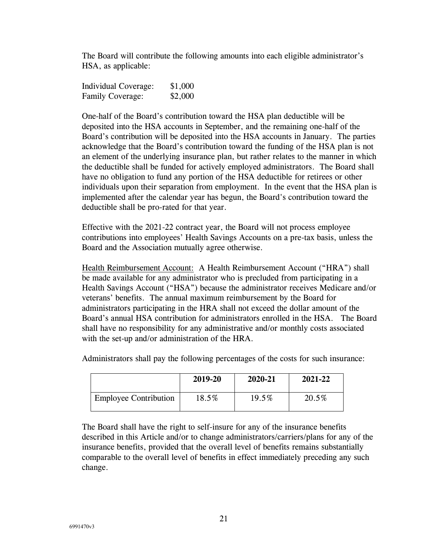The Board will contribute the following amounts into each eligible administrator's HSA, as applicable:

Individual Coverage: \$1,000 Family Coverage: \$2,000

One-half of the Board's contribution toward the HSA plan deductible will be deposited into the HSA accounts in September, and the remaining one-half of the Board's contribution will be deposited into the HSA accounts in January. The parties acknowledge that the Board's contribution toward the funding of the HSA plan is not an element of the underlying insurance plan, but rather relates to the manner in which the deductible shall be funded for actively employed administrators. The Board shall have no obligation to fund any portion of the HSA deductible for retirees or other individuals upon their separation from employment. In the event that the HSA plan is implemented after the calendar year has begun, the Board's contribution toward the deductible shall be pro-rated for that year.

Effective with the 2021-22 contract year, the Board will not process employee contributions into employees' Health Savings Accounts on a pre-tax basis, unless the Board and the Association mutually agree otherwise.

Health Reimbursement Account: A Health Reimbursement Account ("HRA") shall be made available for any administrator who is precluded from participating in a Health Savings Account ("HSA") because the administrator receives Medicare and/or veterans' benefits. The annual maximum reimbursement by the Board for administrators participating in the HRA shall not exceed the dollar amount of the Board's annual HSA contribution for administrators enrolled in the HSA. The Board shall have no responsibility for any administrative and/or monthly costs associated with the set-up and/or administration of the HRA.

|                              | 2019-20 | 2020-21 | 2021-22 |
|------------------------------|---------|---------|---------|
| <b>Employee Contribution</b> | 18.5%   | 19.5%   | 20.5%   |

Administrators shall pay the following percentages of the costs for such insurance:

The Board shall have the right to self-insure for any of the insurance benefits described in this Article and/or to change administrators/carriers/plans for any of the insurance benefits, provided that the overall level of benefits remains substantially comparable to the overall level of benefits in effect immediately preceding any such change.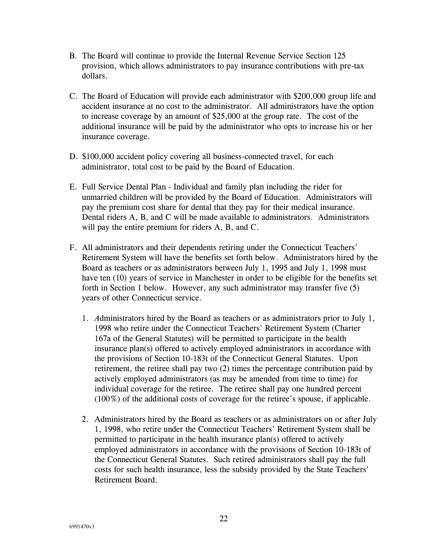- B. The Board will continue to provide the Internal Revenue Service Section 125 provision, which allows administrators to pay insurance contributions with pre-tax dollars.
- C. The Board of Education will provide each administrator with \$200,000 group life and accident insurance at no cost to the administrator. All administrators have the option to increase coverage by an amount of \$25,000 at the group rate. The cost of the additional insurance will be paid by the administrator who opts to increase his or her insurance coverage.
- D. \$100,000 accident policy covering all business-connected travel, for each administrator, total cost to be paid by the Board of Education.
- E. Full Service Dental Plan Individual and family plan including the rider for unmarried children will be provided by the Board of Education. Administrators will pay the premium cost share for dental that they pay for their medical insurance. Dental riders A, B, and C will be made available to administrators. Administrators will pay the entire premium for riders A, B, and C.
- F. All administrators and their dependents retiring under the Connecticut Teachers' Retirement System will have the benefits set forth below. Administrators hired by the Board as teachers or as administrators between July 1, 1995 and July 1, 1998 must have ten (10) years of service in Manchester in order to be eligible for the benefits set forth in Section 1 below. However, any such administrator may transfer five (5) years of other Connecticut service.
	- 1. *A*dministrators hired by the Board as teachers or as administrators prior to July 1, 1998 who retire under the Connecticut Teachers' Retirement System (Charter 167a of the General Statutes) will be permitted to participate in the health insurance plan(s) offered to actively employed administrators in accordance with the provisions of Section 10-183t of the Connecticut General Statutes. Upon retirement, the retiree shall pay two (2) times the percentage contribution paid by actively employed administrators (as may be amended from time to time) for individual coverage for the retiree. The retiree shall pay one hundred percent (100%) of the additional costs of coverage for the retiree's spouse, if applicable.
	- 2. Administrators hired by the Board as teachers or as administrators on or after July 1, 1998, who retire under the Connecticut Teachers' Retirement System shall be permitted to participate in the health insurance plan(s) offered to actively employed administrators in accordance with the provisions of Section 10-183t of the Connecticut General Statutes. Such retired administrators shall pay the full costs for such health insurance, less the subsidy provided by the State Teachers' Retirement Board.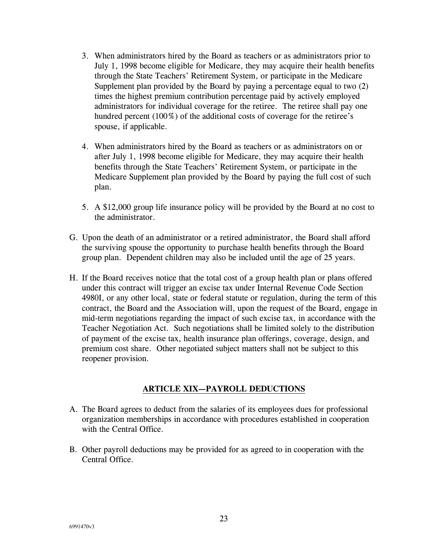- 3. When administrators hired by the Board as teachers or as administrators prior to July 1, 1998 become eligible for Medicare, they may acquire their health benefits through the State Teachers' Retirement System, or participate in the Medicare Supplement plan provided by the Board by paying a percentage equal to two (2) times the highest premium contribution percentage paid by actively employed administrators for individual coverage for the retiree. The retiree shall pay one hundred percent (100%) of the additional costs of coverage for the retiree's spouse, if applicable.
- 4. When administrators hired by the Board as teachers or as administrators on or after July 1, 1998 become eligible for Medicare, they may acquire their health benefits through the State Teachers' Retirement System, or participate in the Medicare Supplement plan provided by the Board by paying the full cost of such plan.
- 5. A \$12,000 group life insurance policy will be provided by the Board at no cost to the administrator.
- G. Upon the death of an administrator or a retired administrator, the Board shall afford the surviving spouse the opportunity to purchase health benefits through the Board group plan. Dependent children may also be included until the age of 25 years.
- H. If the Board receives notice that the total cost of a group health plan or plans offered under this contract will trigger an excise tax under Internal Revenue Code Section 4980I, or any other local, state or federal statute or regulation, during the term of this contract, the Board and the Association will, upon the request of the Board, engage in mid-term negotiations regarding the impact of such excise tax, in accordance with the Teacher Negotiation Act. Such negotiations shall be limited solely to the distribution of payment of the excise tax, health insurance plan offerings, coverage, design, and premium cost share. Other negotiated subject matters shall not be subject to this reopener provision.

### **ARTICLE XIX—PAYROLL DEDUCTIONS**

- A. The Board agrees to deduct from the salaries of its employees dues for professional organization memberships in accordance with procedures established in cooperation with the Central Office.
- B. Other payroll deductions may be provided for as agreed to in cooperation with the Central Office.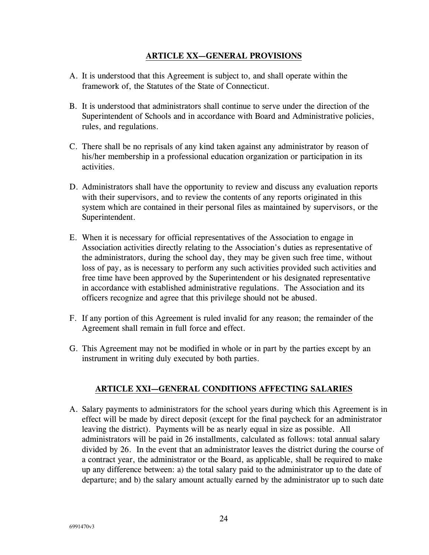### **ARTICLE XX—GENERAL PROVISIONS**

- A. It is understood that this Agreement is subject to, and shall operate within the framework of, the Statutes of the State of Connecticut.
- B. It is understood that administrators shall continue to serve under the direction of the Superintendent of Schools and in accordance with Board and Administrative policies, rules, and regulations.
- C. There shall be no reprisals of any kind taken against any administrator by reason of his/her membership in a professional education organization or participation in its activities.
- D. Administrators shall have the opportunity to review and discuss any evaluation reports with their supervisors, and to review the contents of any reports originated in this system which are contained in their personal files as maintained by supervisors, or the Superintendent.
- E. When it is necessary for official representatives of the Association to engage in Association activities directly relating to the Association's duties as representative of the administrators, during the school day, they may be given such free time, without loss of pay, as is necessary to perform any such activities provided such activities and free time have been approved by the Superintendent or his designated representative in accordance with established administrative regulations. The Association and its officers recognize and agree that this privilege should not be abused.
- F. If any portion of this Agreement is ruled invalid for any reason; the remainder of the Agreement shall remain in full force and effect.
- G. This Agreement may not be modified in whole or in part by the parties except by an instrument in writing duly executed by both parties.

### **ARTICLE XXI—GENERAL CONDITIONS AFFECTING SALARIES**

A. Salary payments to administrators for the school years during which this Agreement is in effect will be made by direct deposit (except for the final paycheck for an administrator leaving the district). Payments will be as nearly equal in size as possible. All administrators will be paid in 26 installments, calculated as follows: total annual salary divided by 26. In the event that an administrator leaves the district during the course of a contract year, the administrator or the Board, as applicable, shall be required to make up any difference between: a) the total salary paid to the administrator up to the date of departure; and b) the salary amount actually earned by the administrator up to such date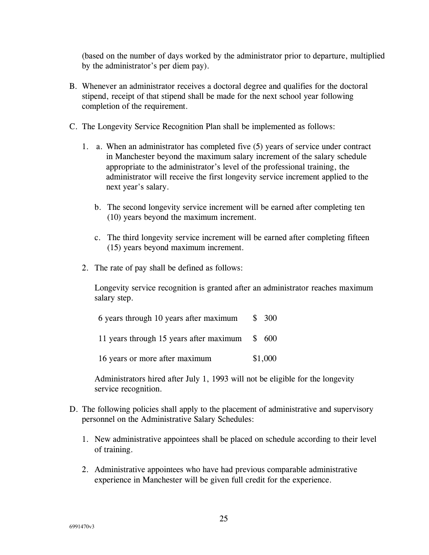(based on the number of days worked by the administrator prior to departure, multiplied by the administrator's per diem pay).

- B. Whenever an administrator receives a doctoral degree and qualifies for the doctoral stipend, receipt of that stipend shall be made for the next school year following completion of the requirement.
- C. The Longevity Service Recognition Plan shall be implemented as follows:
	- 1. a. When an administrator has completed five (5) years of service under contract in Manchester beyond the maximum salary increment of the salary schedule appropriate to the administrator's level of the professional training, the administrator will receive the first longevity service increment applied to the next year's salary.
		- b. The second longevity service increment will be earned after completing ten (10) years beyond the maximum increment.
		- c. The third longevity service increment will be earned after completing fifteen (15) years beyond maximum increment.
	- 2. The rate of pay shall be defined as follows:

Longevity service recognition is granted after an administrator reaches maximum salary step.

| 6 years through 10 years after maximum         | \$300   |
|------------------------------------------------|---------|
| 11 years through 15 years after maximum \$ 600 |         |
| 16 years or more after maximum                 | \$1,000 |

Administrators hired after July 1, 1993 will not be eligible for the longevity service recognition.

- D. The following policies shall apply to the placement of administrative and supervisory personnel on the Administrative Salary Schedules:
	- 1. New administrative appointees shall be placed on schedule according to their level of training.
	- 2. Administrative appointees who have had previous comparable administrative experience in Manchester will be given full credit for the experience.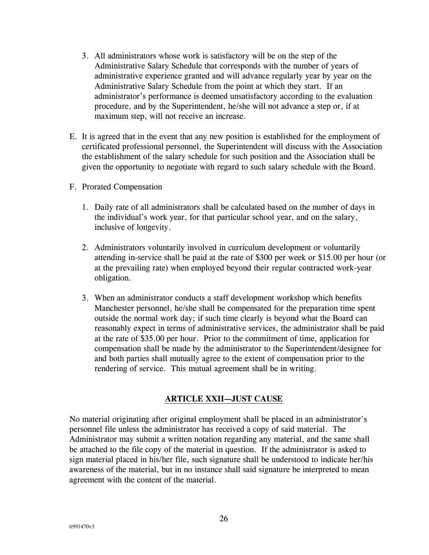- 3. All administrators whose work is satisfactory will be on the step of the Administrative Salary Schedule that corresponds with the number of years of administrative experience granted and will advance regularly year by year on the Administrative Salary Schedule from the point at which they start. If an administrator's performance is deemed unsatisfactory according to the evaluation procedure, and by the Superintendent, he/she will not advance a step or, if at maximum step, will not receive an increase.
- E. It is agreed that in the event that any new position is established for the employment of certificated professional personnel, the Superintendent will discuss with the Association the establishment of the salary schedule for such position and the Association shall be given the opportunity to negotiate with regard to such salary schedule with the Board.
- F. Prorated Compensation
	- 1. Daily rate of all administrators shall be calculated based on the number of days in the individual's work year, for that particular school year, and on the salary, inclusive of longevity.
	- 2. Administrators voluntarily involved in curriculum development or voluntarily attending in-service shall be paid at the rate of \$300 per week or \$15.00 per hour (or at the prevailing rate) when employed beyond their regular contracted work-year obligation.
	- 3. When an administrator conducts a staff development workshop which benefits Manchester personnel, he/she shall be compensated for the preparation time spent outside the normal work day; if such time clearly is beyond what the Board can reasonably expect in terms of administrative services, the administrator shall be paid at the rate of \$35.00 per hour. Prior to the commitment of time, application for compensation shall be made by the administrator to the Superintendent/designee for and both parties shall mutually agree to the extent of compensation prior to the rendering of service. This mutual agreement shall be in writing.

### **ARTICLE XXII—JUST CAUSE**

No material originating after original employment shall be placed in an administrator's personnel file unless the administrator has received a copy of said material. The Administrator may submit a written notation regarding any material, and the same shall be attached to the file copy of the material in question. If the administrator is asked to sign material placed in his/her file, such signature shall be understood to indicate her/his awareness of the material, but in no instance shall said signature be interpreted to mean agreement with the content of the material.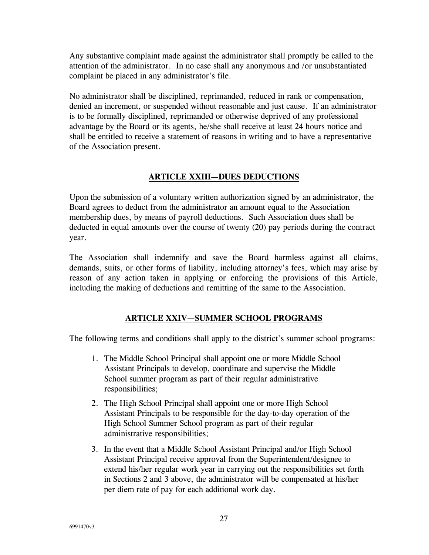Any substantive complaint made against the administrator shall promptly be called to the attention of the administrator. In no case shall any anonymous and /or unsubstantiated complaint be placed in any administrator's file.

No administrator shall be disciplined, reprimanded, reduced in rank or compensation, denied an increment, or suspended without reasonable and just cause. If an administrator is to be formally disciplined, reprimanded or otherwise deprived of any professional advantage by the Board or its agents, he/she shall receive at least 24 hours notice and shall be entitled to receive a statement of reasons in writing and to have a representative of the Association present.

### **ARTICLE XXIII—DUES DEDUCTIONS**

Upon the submission of a voluntary written authorization signed by an administrator, the Board agrees to deduct from the administrator an amount equal to the Association membership dues, by means of payroll deductions. Such Association dues shall be deducted in equal amounts over the course of twenty (20) pay periods during the contract year.

The Association shall indemnify and save the Board harmless against all claims, demands, suits, or other forms of liability, including attorney's fees, which may arise by reason of any action taken in applying or enforcing the provisions of this Article, including the making of deductions and remitting of the same to the Association.

### **ARTICLE XXIV—SUMMER SCHOOL PROGRAMS**

The following terms and conditions shall apply to the district's summer school programs:

- 1. The Middle School Principal shall appoint one or more Middle School Assistant Principals to develop, coordinate and supervise the Middle School summer program as part of their regular administrative responsibilities;
- 2. The High School Principal shall appoint one or more High School Assistant Principals to be responsible for the day-to-day operation of the High School Summer School program as part of their regular administrative responsibilities;
- 3. In the event that a Middle School Assistant Principal and/or High School Assistant Principal receive approval from the Superintendent/designee to extend his/her regular work year in carrying out the responsibilities set forth in Sections 2 and 3 above, the administrator will be compensated at his/her per diem rate of pay for each additional work day.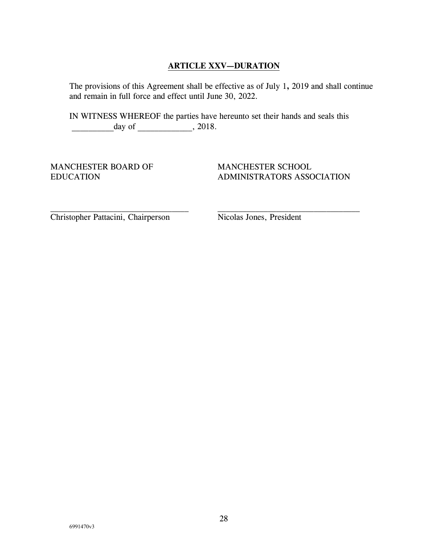### **ARTICLE XXV—DURATION**

The provisions of this Agreement shall be effective as of July 1**,** 2019 and shall continue and remain in full force and effect until June 30, 2022*.*

IN WITNESS WHEREOF the parties have hereunto set their hands and seals this day of \_\_\_\_\_\_\_\_\_\_\_, 2018.

MANCHESTER BOARD OF EDUCATION

MANCHESTER SCHOOL ADMINISTRATORS ASSOCIATION

Christopher Pattacini, Chairperson

Nicolas Jones, President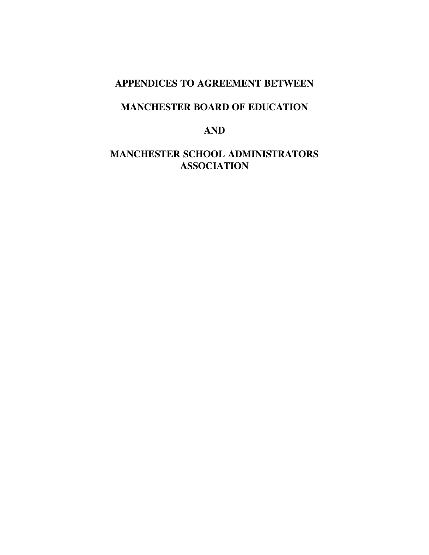## **APPENDICES TO AGREEMENT BETWEEN**

## **MANCHESTER BOARD OF EDUCATION**

## **AND**

## **MANCHESTER SCHOOL ADMINISTRATORS ASSOCIATION**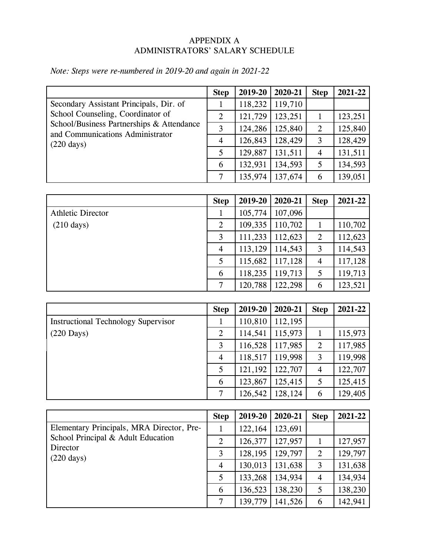### APPENDIX A ADMINISTRATORS' SALARY SCHEDULE

|                                                                                                                                                                                       | <b>Step</b>    | 2019-20 | 2020-21 | <b>Step</b>    | 2021-22 |
|---------------------------------------------------------------------------------------------------------------------------------------------------------------------------------------|----------------|---------|---------|----------------|---------|
| Secondary Assistant Principals, Dir. of<br>School Counseling, Coordinator of<br>School/Business Partnerships & Attendance<br>and Communications Administrator<br>$(220 \text{ days})$ |                | 118,232 | 119,710 |                |         |
|                                                                                                                                                                                       | $\overline{2}$ | 121,729 | 123,251 |                | 123,251 |
|                                                                                                                                                                                       | 3              | 124,286 | 125,840 | $\overline{2}$ | 125,840 |
|                                                                                                                                                                                       | $\overline{4}$ | 126,843 | 128,429 | 3              | 128,429 |
|                                                                                                                                                                                       | 5              | 129,887 | 131,511 | $\overline{4}$ | 131,511 |
|                                                                                                                                                                                       | 6              | 132,931 | 134,593 | 5              | 134,593 |
|                                                                                                                                                                                       | $\tau$         | 135,974 | 137,674 | 6              | 139,051 |

# *Note: Steps were re-numbered in 2019-20 and again in 2021-22*

|                          | <b>Step</b>    | 2019-20 | 2020-21 | <b>Step</b>    | 2021-22 |
|--------------------------|----------------|---------|---------|----------------|---------|
| <b>Athletic Director</b> | 1              | 105,774 | 107,096 |                |         |
| $(210 \text{ days})$     | $\overline{2}$ | 109,335 | 110,702 |                | 110,702 |
|                          | 3              | 111,233 | 112,623 | $\overline{2}$ | 112,623 |
|                          | $\overline{4}$ | 113,129 | 114,543 | 3              | 114,543 |
|                          | 5              | 115,682 | 117,128 | $\overline{4}$ | 117,128 |
|                          | 6              | 118,235 | 119,713 | 5              | 119,713 |
|                          | 7              | 120,788 | 122,298 | 6              | 123,521 |

|                                            | <b>Step</b>    | 2019-20 | 2020-21 | <b>Step</b>    | 2021-22 |
|--------------------------------------------|----------------|---------|---------|----------------|---------|
| <b>Instructional Technology Supervisor</b> | 1              | 110,810 | 112,195 |                |         |
| $(220$ Days)                               | $\overline{2}$ | 114,541 | 115,973 |                | 115,973 |
|                                            | 3              | 116,528 | 117,985 | $\overline{2}$ | 117,985 |
|                                            | $\overline{4}$ | 118,517 | 119,998 | 3              | 119,998 |
|                                            | 5              | 121,192 | 122,707 | 4              | 122,707 |
|                                            | 6              | 123,867 | 125,415 | 5              | 125,415 |
|                                            | 7              | 126,542 | 128,124 | 6              | 129,405 |

|                                                                                                                     | <b>Step</b>    | 2019-20 | 2020-21 | <b>Step</b>    | 2021-22 |
|---------------------------------------------------------------------------------------------------------------------|----------------|---------|---------|----------------|---------|
| Elementary Principals, MRA Director, Pre-<br>School Principal & Adult Education<br>Director<br>$(220 \text{ days})$ |                | 122,164 | 123,691 |                |         |
|                                                                                                                     | $\overline{2}$ | 126,377 | 127,957 |                | 127,957 |
|                                                                                                                     | 3              | 128,195 | 129,797 | 2              | 129,797 |
|                                                                                                                     | 4              | 130,013 | 131,638 | 3              | 131,638 |
|                                                                                                                     | 5              | 133,268 | 134,934 | $\overline{4}$ | 134,934 |
|                                                                                                                     | 6              | 136,523 | 138,230 | 5              | 138,230 |
|                                                                                                                     | 7              | 139,779 | 141,526 | 6              | 142,941 |